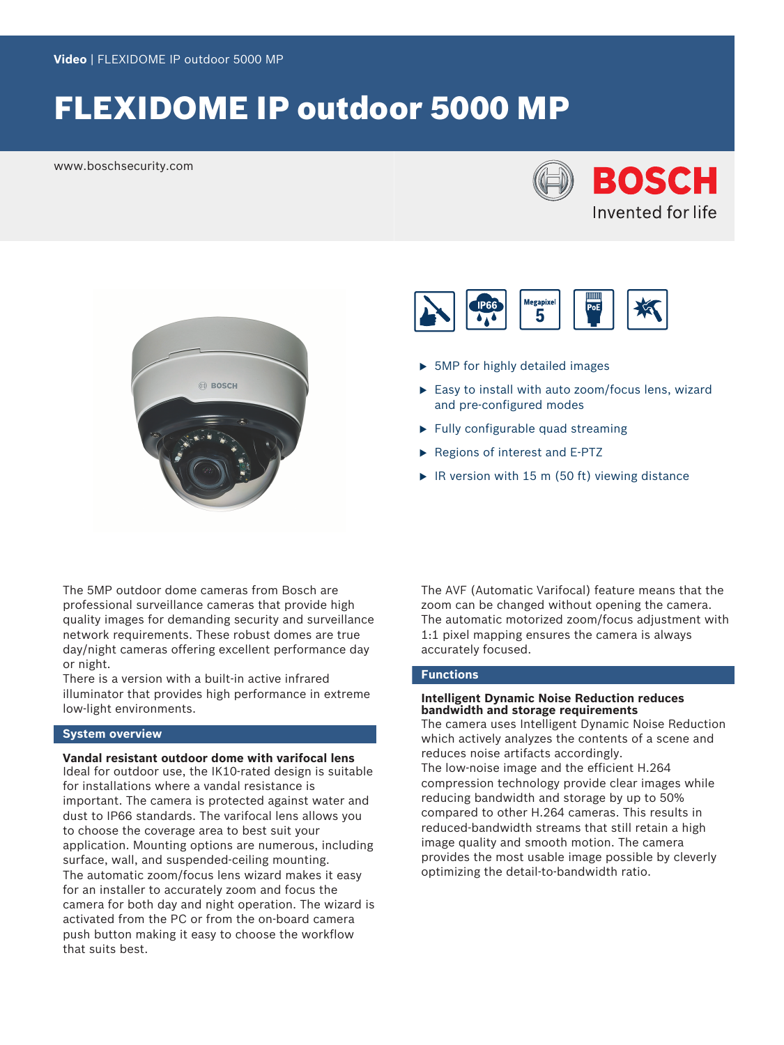# FLEXIDOME IP outdoor 5000 MP

www.boschsecurity.com







- $\triangleright$  5MP for highly detailed images
- $\triangleright$  Easy to install with auto zoom/focus lens, wizard and pre-configured modes
- $\blacktriangleright$  Fully configurable quad streaming
- $\blacktriangleright$  Regions of interest and E-PTZ
- $\triangleright$  IR version with 15 m (50 ft) viewing distance

The 5MP outdoor dome cameras from Bosch are professional surveillance cameras that provide high quality images for demanding security and surveillance network requirements. These robust domes are true day/night cameras offering excellent performance day or night.

There is a version with a built-in active infrared illuminator that provides high performance in extreme low-light environments.

# **System overview**

**Vandal resistant outdoor dome with varifocal lens** Ideal for outdoor use, the IK10-rated design is suitable for installations where a vandal resistance is important. The camera is protected against water and

dust to IP66 standards. The varifocal lens allows you to choose the coverage area to best suit your application. Mounting options are numerous, including surface, wall, and suspended-ceiling mounting. The automatic zoom/focus lens wizard makes it easy for an installer to accurately zoom and focus the camera for both day and night operation. The wizard is activated from the PC or from the on-board camera push button making it easy to choose the workflow that suits best.

The AVF (Automatic Varifocal) feature means that the zoom can be changed without opening the camera. The automatic motorized zoom/focus adjustment with 1:1 pixel mapping ensures the camera is always accurately focused.

# **Functions**

# **Intelligent Dynamic Noise Reduction reduces bandwidth and storage requirements**

The camera uses Intelligent Dynamic Noise Reduction which actively analyzes the contents of a scene and reduces noise artifacts accordingly. The low-noise image and the efficient H.264

compression technology provide clear images while reducing bandwidth and storage by up to 50% compared to other H.264 cameras. This results in reduced-bandwidth streams that still retain a high image quality and smooth motion. The camera provides the most usable image possible by cleverly optimizing the detail-to-bandwidth ratio.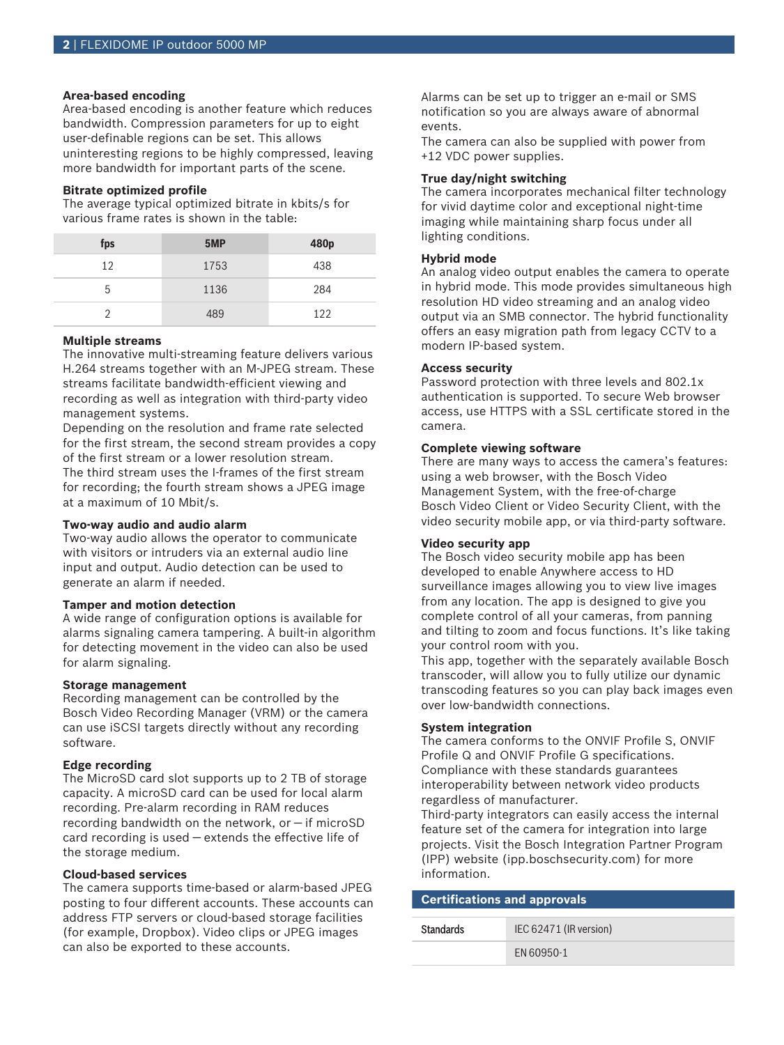# **Area-based encoding**

Area-based encoding is another feature which reduces bandwidth. Compression parameters for up to eight user-definable regions can be set. This allows uninteresting regions to be highly compressed, leaving more bandwidth for important parts of the scene.

# **Bitrate optimized profile**

The average typical optimized bitrate in kbits/s for various frame rates is shown in the table:

| fps | 5MP  | 480 <sub>p</sub> |
|-----|------|------------------|
| 12  | 1753 | 438              |
| 5   | 1136 | 284              |
| າ   | 489  | 122              |

#### **Multiple streams**

The innovative multi-streaming feature delivers various H.264 streams together with an M‑JPEG stream. These streams facilitate bandwidth-efficient viewing and recording as well as integration with third-party video management systems.

Depending on the resolution and frame rate selected for the first stream, the second stream provides a copy of the first stream or a lower resolution stream. The third stream uses the I-frames of the first stream for recording; the fourth stream shows a JPEG image at a maximum of 10 Mbit/s.

### **Two-way audio and audio alarm**

Two-way audio allows the operator to communicate with visitors or intruders via an external audio line input and output. Audio detection can be used to generate an alarm if needed.

#### **Tamper and motion detection**

A wide range of configuration options is available for alarms signaling camera tampering. A built-in algorithm for detecting movement in the video can also be used for alarm signaling.

#### **Storage management**

Recording management can be controlled by the Bosch Video Recording Manager (VRM) or the camera can use iSCSI targets directly without any recording software.

# **Edge recording**

The MicroSD card slot supports up to 2 TB of storage capacity. A microSD card can be used for local alarm recording. Pre-alarm recording in RAM reduces recording bandwidth on the network, or — if microSD card recording is used — extends the effective life of the storage medium.

# **Cloud-based services**

The camera supports time-based or alarm-based JPEG posting to four different accounts. These accounts can address FTP servers or cloud-based storage facilities (for example, Dropbox). Video clips or JPEG images can also be exported to these accounts.

Alarms can be set up to trigger an e-mail or SMS notification so you are always aware of abnormal events.

The camera can also be supplied with power from +12 VDC power supplies.

# **True day/night switching**

The camera incorporates mechanical filter technology for vivid daytime color and exceptional night-time imaging while maintaining sharp focus under all lighting conditions.

# **Hybrid mode**

An analog video output enables the camera to operate in hybrid mode. This mode provides simultaneous high resolution HD video streaming and an analog video output via an SMB connector. The hybrid functionality offers an easy migration path from legacy CCTV to a modern IP-based system.

#### **Access security**

Password protection with three levels and 802.1x authentication is supported. To secure Web browser access, use HTTPS with a SSL certificate stored in the camera.

#### **Complete viewing software**

There are many ways to access the camera's features: using a web browser, with the Bosch Video Management System, with the free-of-charge Bosch Video Client or Video Security Client, with the video security mobile app, or via third-party software.

#### **Video security app**

The Bosch video security mobile app has been developed to enable Anywhere access to HD surveillance images allowing you to view live images from any location. The app is designed to give you complete control of all your cameras, from panning and tilting to zoom and focus functions. It's like taking your control room with you.

This app, together with the separately available Bosch transcoder, will allow you to fully utilize our dynamic transcoding features so you can play back images even over low-bandwidth connections.

#### **System integration**

The camera conforms to the ONVIF Profile S, ONVIF Profile Q and ONVIF Profile G specifications. Compliance with these standards guarantees interoperability between network video products regardless of manufacturer.

Third-party integrators can easily access the internal feature set of the camera for integration into large projects. Visit the Bosch Integration Partner Program (IPP) website (ipp.boschsecurity.com) for more information.

| <b>Certifications and approvals</b> |                        |
|-------------------------------------|------------------------|
| <b>Standards</b>                    | IEC 62471 (IR version) |
|                                     | FN 60950-1             |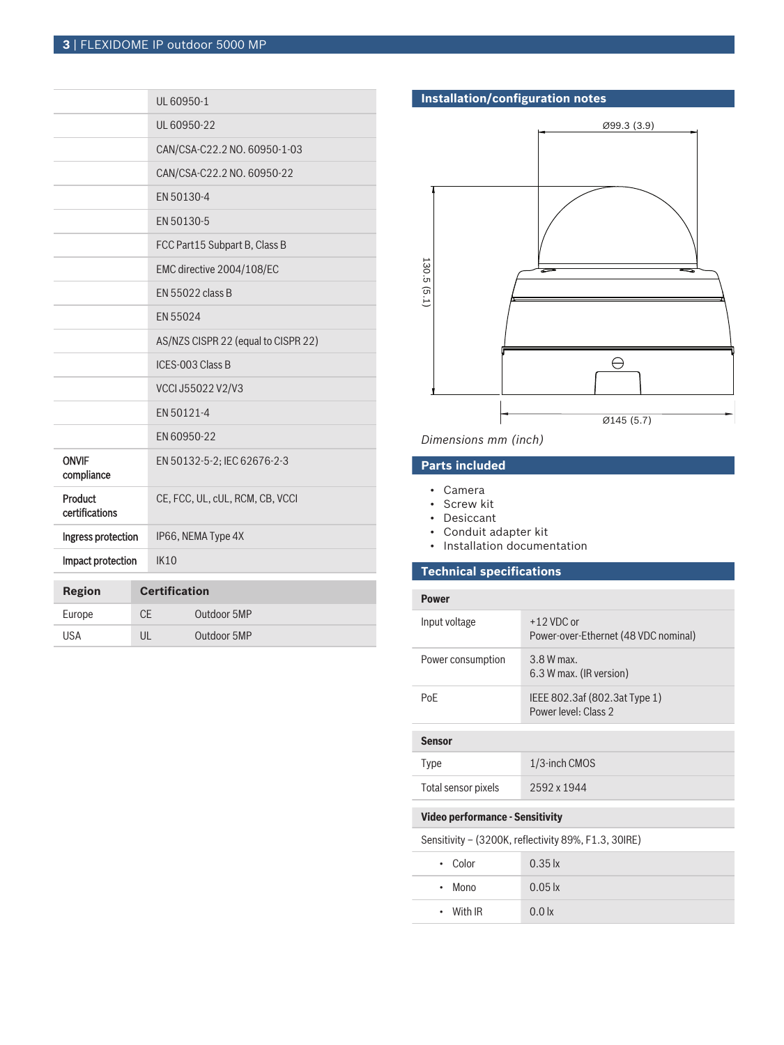|                            | UL 60950-1                          |
|----------------------------|-------------------------------------|
|                            | UL 60950-22                         |
|                            | CAN/CSA-C22.2 NO. 60950-1-03        |
|                            | CAN/CSA-C22.2 NO. 60950-22          |
|                            | EN 50130-4                          |
|                            | EN 50130-5                          |
|                            | FCC Part15 Subpart B, Class B       |
|                            | EMC directive 2004/108/EC           |
|                            | EN 55022 class B                    |
|                            | EN 55024                            |
|                            | AS/NZS CISPR 22 (equal to CISPR 22) |
|                            | ICES-003 Class B                    |
|                            | VCCI J55022 V2/V3                   |
|                            | EN 50121-4                          |
|                            | EN 60950-22                         |
| <b>ONVIF</b><br>compliance | EN 50132-5-2; IEC 62676-2-3         |
| Product<br>certifications  | CE, FCC, UL, cUL, RCM, CB, VCCI     |
| Ingress protection         | IP66, NEMA Type 4X                  |
| Impact protection          | <b>IK10</b>                         |
| <b>Region</b>              | <b>Certification</b>                |

| Region | <b>Certification</b> |             |
|--------|----------------------|-------------|
| Europe | CF                   | Outdoor 5MP |
| USA    | UL                   | Outdoor 5MP |

# **Installation/configuration notes**



# *Dimensions mm (inch)*

# **Parts included**

- Camera
- Screw kit
- Desiccant
- Conduit adapter kit
- Installation documentation

# **Technical specifications**

| <b>Power</b>        |                                                       |
|---------------------|-------------------------------------------------------|
| Input voltage       | $+12$ VDC or<br>Power-over-Ethernet (48 VDC nominal)  |
| Power consumption   | $3.8 W$ max.<br>6.3 W max. (IR version)               |
| PoF                 | IEEE 802.3af (802.3at Type 1)<br>Power level: Class 2 |
|                     |                                                       |
| <b>Sensor</b>       |                                                       |
| <b>Type</b>         | 1/3-inch CMOS                                         |
| Total sensor pixels | 2592 x 1944                                           |
|                     |                                                       |

# **Video performance - Sensitivity**

Sensitivity – (3200K, reflectivity 89%, F1.3, 30IRE)

| • Color             | $0.35$ $\mathsf{k}$ |
|---------------------|---------------------|
| Mono<br>$\bullet$ . | $0.05$ $\mathsf{k}$ |
| $\cdot$ With IR     | 0.0 <sub>x</sub>    |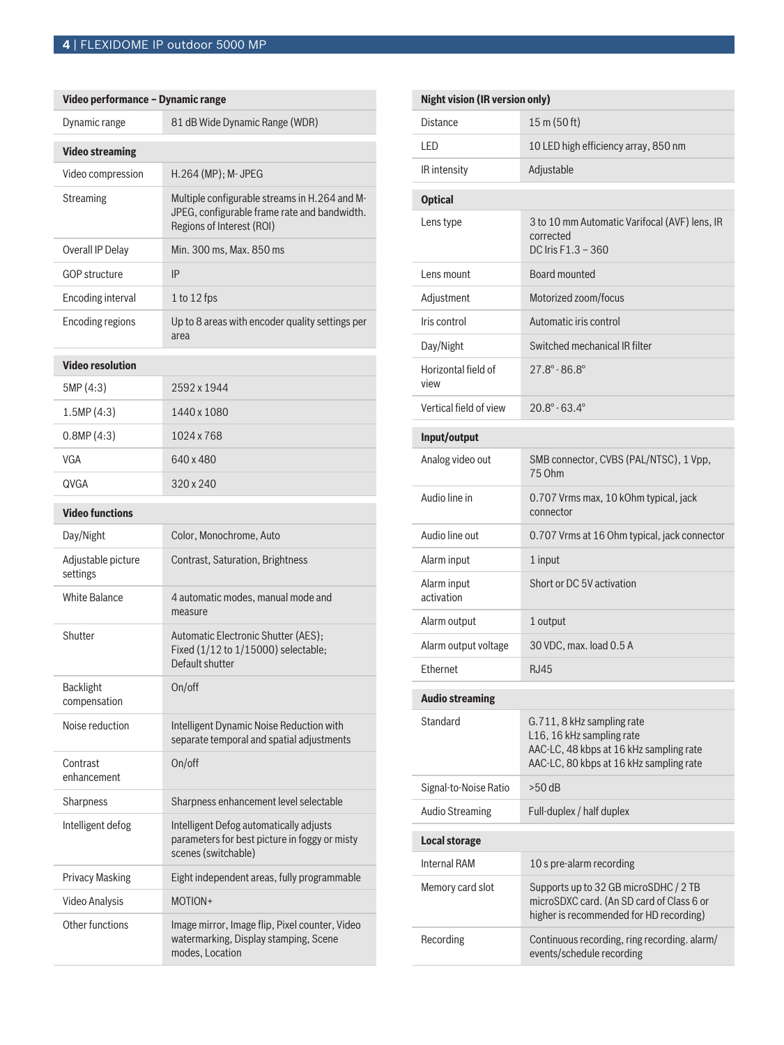**Contract Contract Contract** 

| Video performance - Dynamic range |                                                                                                                            |
|-----------------------------------|----------------------------------------------------------------------------------------------------------------------------|
| Dynamic range                     | 81 dB Wide Dynamic Range (WDR)                                                                                             |
| <b>Video streaming</b>            |                                                                                                                            |
| Video compression                 | H.264 (MP); M- JPEG                                                                                                        |
| <b>Streaming</b>                  | Multiple configurable streams in H.264 and M-<br>JPEG, configurable frame rate and bandwidth.<br>Regions of Interest (ROI) |
| Overall IP Delay                  | Min. 300 ms, Max. 850 ms                                                                                                   |
| <b>GOP structure</b>              | IP                                                                                                                         |
| <b>Encoding interval</b>          | 1 to 12 fps                                                                                                                |
| <b>Encoding regions</b>           | Up to 8 areas with encoder quality settings per<br>area                                                                    |
| <b>Video resolution</b>           |                                                                                                                            |
| 5MP (4:3)                         | 2592 x 1944                                                                                                                |
| 1.5MP(4:3)                        | 1440 x 1080                                                                                                                |
| 0.8MP(4:3)                        | 1024 x 768                                                                                                                 |
| VGA                               | 640 x 480                                                                                                                  |
| QVGA                              | 320 x 240                                                                                                                  |
| <b>Video functions</b>            |                                                                                                                            |
| Day/Night                         | Color, Monochrome, Auto                                                                                                    |
| Adjustable picture<br>settings    | Contrast, Saturation, Brightness                                                                                           |
| <b>White Balance</b>              | 4 automatic modes, manual mode and<br>measure                                                                              |
| Shutter                           | Automatic Electronic Shutter (AES);<br>Fixed (1/12 to 1/15000) selectable;<br>Default shutter                              |
| <b>Backlight</b><br>compensation  | On/off                                                                                                                     |
| Noise reduction                   | Intelligent Dynamic Noise Reduction with<br>separate temporal and spatial adjustments                                      |
| Contrast<br>enhancement           | On/off                                                                                                                     |
| Sharpness                         | Sharpness enhancement level selectable                                                                                     |
| Intelligent defog                 | Intelligent Defog automatically adjusts<br>parameters for best picture in foggy or misty<br>scenes (switchable)            |
| <b>Privacy Masking</b>            | Eight independent areas, fully programmable                                                                                |
| <b>Video Analysis</b>             | MOTION+                                                                                                                    |
| Other functions                   | Image mirror, Image flip, Pixel counter, Video<br>watermarking, Display stamping, Scene<br>modes, Location                 |

| <b>Night vision (IR version only)</b> |                                                                                                                                               |
|---------------------------------------|-----------------------------------------------------------------------------------------------------------------------------------------------|
| Distance                              | 15 m (50 ft)                                                                                                                                  |
| LED                                   | 10 LED high efficiency array, 850 nm                                                                                                          |
| IR intensity                          | Adjustable                                                                                                                                    |
| <b>Optical</b>                        |                                                                                                                                               |
| Lens type                             | 3 to 10 mm Automatic Varifocal (AVF) lens, IR<br>corrected<br>DC Iris $F1.3 - 360$                                                            |
| Lens mount                            | Board mounted                                                                                                                                 |
| Adjustment                            | Motorized zoom/focus                                                                                                                          |
| Iris control                          | Automatic iris control                                                                                                                        |
| Day/Night                             | Switched mechanical IR filter                                                                                                                 |
| Horizontal field of<br>view           | $27.8^{\circ} - 86.8^{\circ}$                                                                                                                 |
| Vertical field of view                | $20.8^\circ - 63.4^\circ$                                                                                                                     |
| Input/output                          |                                                                                                                                               |
| Analog video out                      | SMB connector, CVBS (PAL/NTSC), 1 Vpp,<br>75 Ohm                                                                                              |
| Audio line in                         | 0.707 Vrms max, 10 kOhm typical, jack<br>connector                                                                                            |
| Audio line out                        | 0.707 Vrms at 16 Ohm typical, jack connector                                                                                                  |
| Alarm input                           | 1 input                                                                                                                                       |
| Alarm input<br>activation             | Short or DC 5V activation                                                                                                                     |
| Alarm output                          | 1 output                                                                                                                                      |
| Alarm output voltage                  | 30 VDC, max. load 0.5 A                                                                                                                       |
| Ethernet                              | <b>RJ45</b>                                                                                                                                   |
| <b>Audio streaming</b>                |                                                                                                                                               |
| Standard                              | G.711, 8 kHz sampling rate<br>L16, 16 kHz sampling rate<br>AAC-LC, 48 kbps at 16 kHz sampling rate<br>AAC-LC, 80 kbps at 16 kHz sampling rate |
| Signal-to-Noise Ratio                 | $>50$ dB                                                                                                                                      |
| <b>Audio Streaming</b>                | Full-duplex / half duplex                                                                                                                     |
| <b>Local storage</b>                  |                                                                                                                                               |
| <b>Internal RAM</b>                   | 10 s pre-alarm recording                                                                                                                      |
| Memory card slot                      | Supports up to 32 GB microSDHC / 2 TB<br>microSDXC card. (An SD card of Class 6 or<br>higher is recommended for HD recording)                 |
| Recording                             | Continuous recording, ring recording. alarm/<br>events/schedule recording                                                                     |
|                                       |                                                                                                                                               |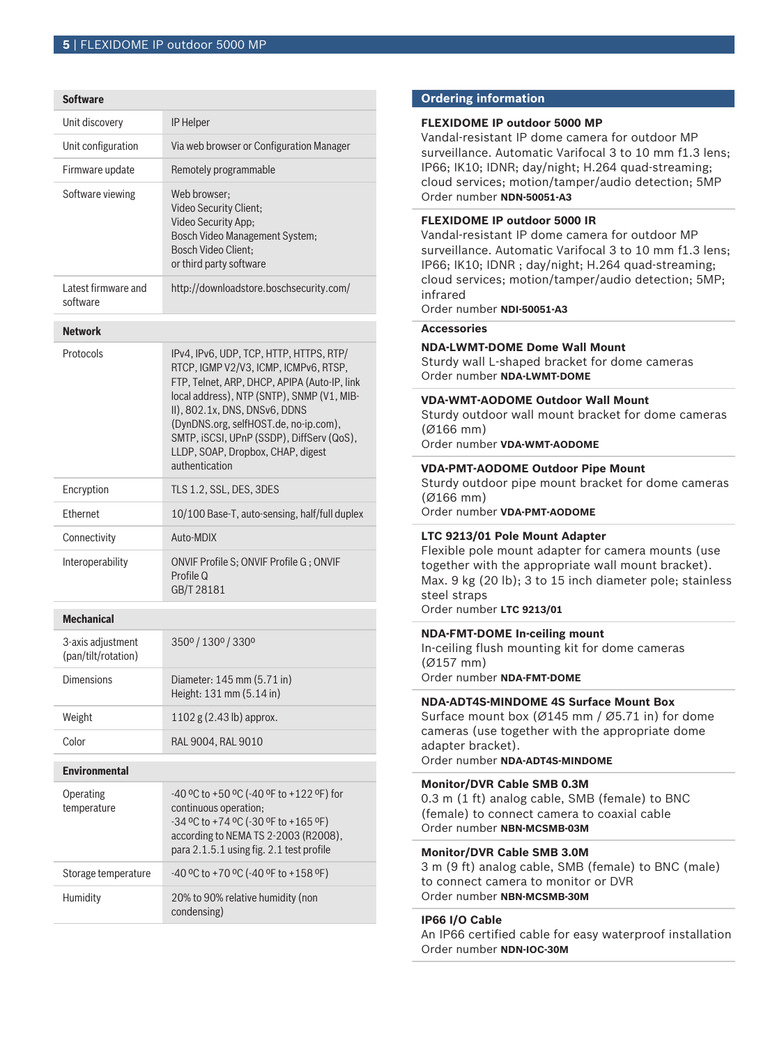#### **Software**

| Unit discovery                           | <b>IP Helper</b>                                                                                                                                                                                                                                                                                                                                             |
|------------------------------------------|--------------------------------------------------------------------------------------------------------------------------------------------------------------------------------------------------------------------------------------------------------------------------------------------------------------------------------------------------------------|
| Unit configuration                       | Via web browser or Configuration Manager                                                                                                                                                                                                                                                                                                                     |
| Firmware update                          | Remotely programmable                                                                                                                                                                                                                                                                                                                                        |
| Software viewing                         | Web browser:<br>Video Security Client;<br>Video Security App;<br>Bosch Video Management System;<br><b>Bosch Video Client:</b><br>or third party software                                                                                                                                                                                                     |
| Latest firmware and<br>software          | http://downloadstore.boschsecurity.com/                                                                                                                                                                                                                                                                                                                      |
| <b>Network</b>                           |                                                                                                                                                                                                                                                                                                                                                              |
| Protocols                                | IPv4, IPv6, UDP, TCP, HTTP, HTTPS, RTP/<br>RTCP, IGMP V2/V3, ICMP, ICMPv6, RTSP,<br>FTP, Telnet, ARP, DHCP, APIPA (Auto-IP, link<br>local address), NTP (SNTP), SNMP (V1, MIB-<br>II), 802.1x, DNS, DNSv6, DDNS<br>(DynDNS.org, selfHOST.de, no-ip.com),<br>SMTP, iSCSI, UPnP (SSDP), DiffServ (QoS),<br>LLDP, SOAP, Dropbox, CHAP, digest<br>authentication |
| Encryption                               | TLS 1.2, SSL, DES, 3DES                                                                                                                                                                                                                                                                                                                                      |
| Ethernet                                 | 10/100 Base-T, auto-sensing, half/full duplex                                                                                                                                                                                                                                                                                                                |
| Connectivity                             | Auto-MDIX                                                                                                                                                                                                                                                                                                                                                    |
| Interoperability                         | ONVIF Profile S; ONVIF Profile G; ONVIF<br>Profile Q<br>GB/T 28181                                                                                                                                                                                                                                                                                           |
| <b>Mechanical</b>                        |                                                                                                                                                                                                                                                                                                                                                              |
| 3-axis adjustment<br>(pan/tilt/rotation) | 350° / 130° / 330°                                                                                                                                                                                                                                                                                                                                           |
| <b>Dimensions</b>                        | Diameter: 145 mm (5.71 in)<br>Height: 131 mm (5.14 in)                                                                                                                                                                                                                                                                                                       |
| Weight                                   | $1102$ g $(2.43$ lb) approx.                                                                                                                                                                                                                                                                                                                                 |
| Color                                    | RAL 9004, RAL 9010                                                                                                                                                                                                                                                                                                                                           |
| <b>Environmental</b>                     |                                                                                                                                                                                                                                                                                                                                                              |
| Operating<br>temperature                 | -40 °C to +50 °C (-40 °F to +122 °F) for<br>continuous operation;<br>-34 °C to +74 °C (-30 °F to +165 °F)<br>according to NEMA TS 2-2003 (R2008),<br>para 2.1.5.1 using fig. 2.1 test profile                                                                                                                                                                |
| Storage temperature                      | -40 °C to +70 °C (-40 °F to +158 °F)                                                                                                                                                                                                                                                                                                                         |
| Humidity                                 | 20% to 90% relative humidity (non<br>condensing)                                                                                                                                                                                                                                                                                                             |

# **Ordering information**

### **FLEXIDOME IP outdoor 5000 MP**

Vandal-resistant IP dome camera for outdoor MP surveillance. Automatic Varifocal 3 to 10 mm f1.3 lens; IP66; IK10; IDNR; day/night; H.264 quad-streaming; cloud services; motion/tamper/audio detection; 5MP Order number **NDN-50051-A3**

# **FLEXIDOME IP outdoor 5000 IR**

Vandal-resistant IP dome camera for outdoor MP surveillance. Automatic Varifocal 3 to 10 mm f1.3 lens; IP66; IK10; IDNR ; day/night; H.264 quad-streaming; cloud services; motion/tamper/audio detection; 5MP; infrared

Order number **NDI-50051-A3**

# **Accessories**

# **NDA-LWMT-DOME Dome Wall Mount**

Sturdy wall L-shaped bracket for dome cameras Order number **NDA-LWMT-DOME**

## **VDA-WMT-AODOME Outdoor Wall Mount**

Sturdy outdoor wall mount bracket for dome cameras (Ø166 mm)

Order number **VDA-WMT-AODOME**

#### **VDA-PMT-AODOME Outdoor Pipe Mount**

Sturdy outdoor pipe mount bracket for dome cameras (Ø166 mm)

Order number **VDA-PMT-AODOME**

# **LTC 9213/01 Pole Mount Adapter**

Flexible pole mount adapter for camera mounts (use together with the appropriate wall mount bracket). Max. 9 kg (20 lb); 3 to 15 inch diameter pole; stainless steel straps

Order number **LTC 9213/01**

# **NDA-FMT-DOME In-ceiling mount**

In-ceiling flush mounting kit for dome cameras (Ø157 mm) Order number **NDA-FMT-DOME**

# **NDA-ADT4S-MINDOME 4S Surface Mount Box**

Surface mount box (Ø145 mm / Ø5.71 in) for dome cameras (use together with the appropriate dome adapter bracket).

Order number **NDA-ADT4S-MINDOME**

# **Monitor/DVR Cable SMB 0.3M**

0.3 m (1 ft) analog cable, SMB (female) to BNC (female) to connect camera to coaxial cable Order number **NBN-MCSMB-03M**

# **Monitor/DVR Cable SMB 3.0M**

3 m (9 ft) analog cable, SMB (female) to BNC (male) to connect camera to monitor or DVR Order number **NBN-MCSMB-30M**

# **IP66 I/O Cable**

An IP66 certified cable for easy waterproof installation Order number **NDN-IOC-30M**